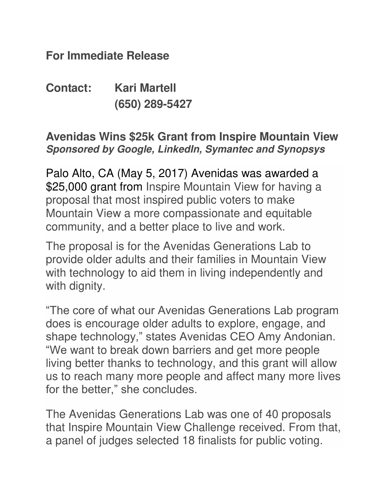**For Immediate Release** 

**Contact: Kari Martell (650) 289-5427** 

## **Avenidas Wins \$25k Grant from Inspire Mountain View Sponsored by Google, LinkedIn, Symantec and Synopsys**

Palo Alto, CA (May 5, 2017) Avenidas was awarded a \$25,000 grant from Inspire Mountain View for having a proposal that most inspired public voters to make Mountain View a more compassionate and equitable community, and a better place to live and work.

The proposal is for the Avenidas Generations Lab to provide older adults and their families in Mountain View with technology to aid them in living independently and with dignity.

"The core of what our Avenidas Generations Lab program does is encourage older adults to explore, engage, and shape technology," states Avenidas CEO Amy Andonian. "We want to break down barriers and get more people living better thanks to technology, and this grant will allow us to reach many more people and affect many more lives for the better," she concludes.

The Avenidas Generations Lab was one of 40 proposals that Inspire Mountain View Challenge received. From that, a panel of judges selected 18 finalists for public voting.